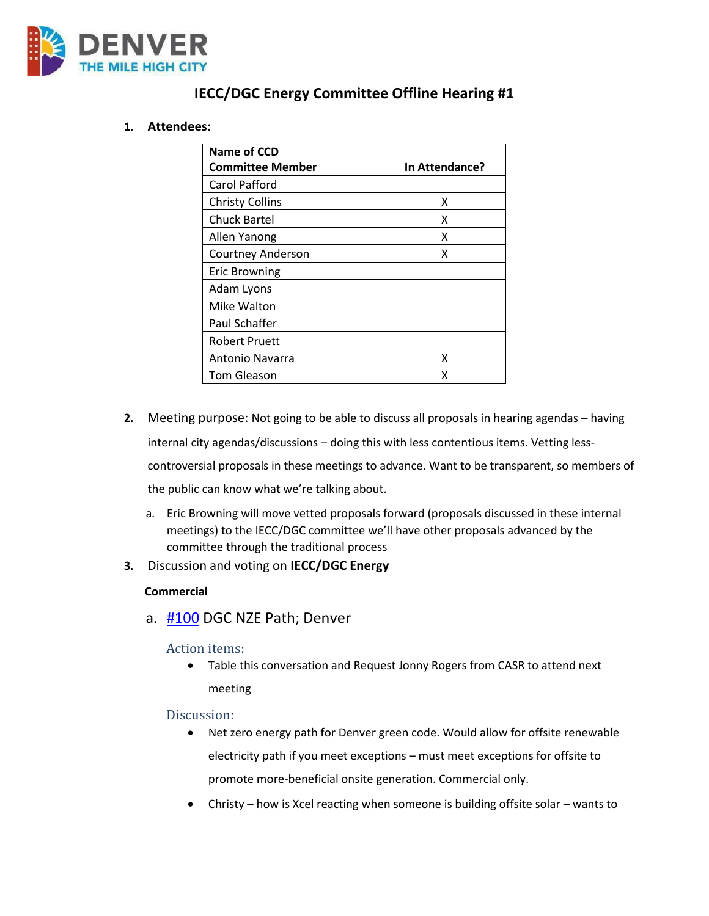

# **IECC/DGC Energy Committee Offline Hearing #1**

### **1. Attendees:**

| Name of CCD             |                |
|-------------------------|----------------|
| <b>Committee Member</b> | In Attendance? |
| Carol Pafford           |                |
| <b>Christy Collins</b>  | x              |
| <b>Chuck Bartel</b>     | x              |
| Allen Yanong            | x              |
| Courtney Anderson       | x              |
| <b>Eric Browning</b>    |                |
| Adam Lyons              |                |
| Mike Walton             |                |
| Paul Schaffer           |                |
| <b>Robert Pruett</b>    |                |
| Antonio Navarra         | x              |
| Tom Gleason             | x              |

- **2.** Meeting purpose: Not going to be able to discuss all proposals in hearing agendas having internal city agendas/discussions – doing this with less contentious items. Vetting lesscontroversial proposals in these meetings to advance. Want to be transparent, so members of the public can know what we're talking about.
	- a. Eric Browning will move vetted proposals forward (proposals discussed in these internal meetings) to the IECC/DGC committee we'll have other proposals advanced by the committee through the traditional process
- **3.** Discussion and voting on **IECC/DGC Energy**

### **Commercial**

a. [#100](https://www.denvergov.org/files/assets/public/community-planning-and-development/documents/ds/building-codes/code-adoption/amendment-proposals/dgc/100_701.6_dgc-zne-path.pdf) DGC NZE Path; Denver

### Action items:

• Table this conversation and Request Jonny Rogers from CASR to attend next meeting

#### Discussion:

- Net zero energy path for Denver green code. Would allow for offsite renewable electricity path if you meet exceptions – must meet exceptions for offsite to promote more-beneficial onsite generation. Commercial only.
- Christy how is Xcel reacting when someone is building offsite solar wants to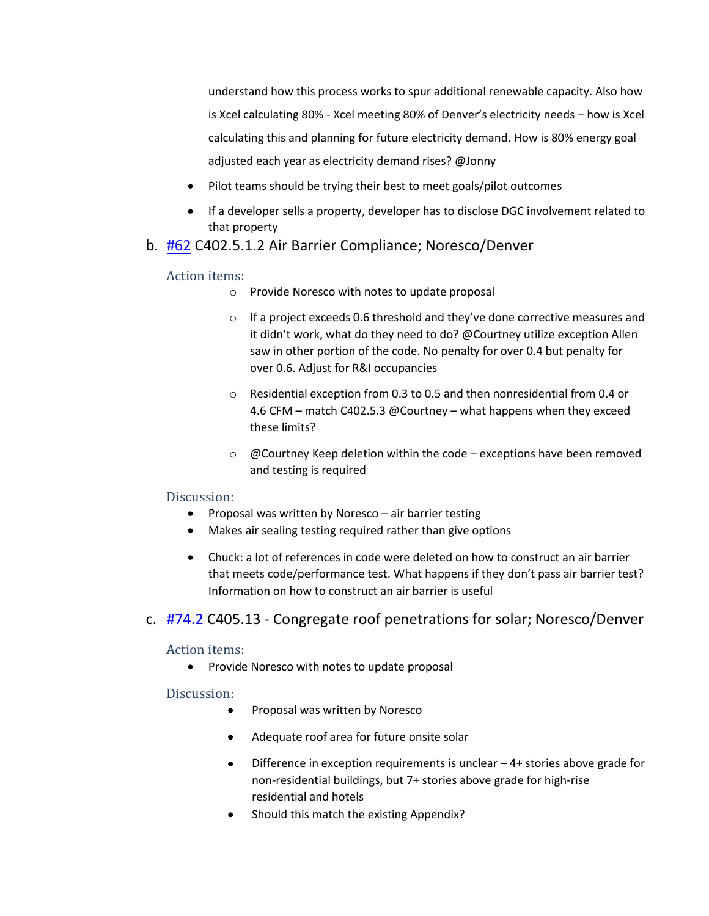understand how this process works to spur additional renewable capacity. Also how is Xcel calculating 80% - Xcel meeting 80% of Denver's electricity needs – how is Xcel calculating this and planning for future electricity demand. How is 80% energy goal adjusted each year as electricity demand rises? @Jonny

- Pilot teams should be trying their best to meet goals/pilot outcomes
- If a developer sells a property, developer has to disclose DGC involvement related to that property
- b. [#62](https://www.denvergov.org/files/assets/public/community-planning-and-development/documents/ds/building-codes/code-adoption/amendment-proposals/iecc/62_c402.5_air-barrier-testing.pdf) C402.5.1.2 Air Barrier Compliance; Noresco/Denver

### Action items:

- o Provide Noresco with notes to update proposal
- o If a project exceeds 0.6 threshold and they've done corrective measures and it didn't work, what do they need to do? @Courtney utilize exception Allen saw in other portion of the code. No penalty for over 0.4 but penalty for over 0.6. Adjust for R&I occupancies
- o Residential exception from 0.3 to 0.5 and then nonresidential from 0.4 or 4.6 CFM – match C402.5.3 @Courtney – what happens when they exceed these limits?
- $\circ$  @Courtney Keep deletion within the code exceptions have been removed and testing is required

### Discussion:

- Proposal was written by Noresco air barrier testing
- Makes air sealing testing required rather than give options
- Chuck: a lot of references in code were deleted on how to construct an air barrier that meets code/performance test. What happens if they don't pass air barrier test? Information on how to construct an air barrier is useful

## c. [#74.2](https://www.denvergov.org/files/assets/public/community-planning-and-development/documents/ds/building-codes/code-adoption/amendment-proposals/iecc/iecc_c405.13_com.pdf) C405.13 - Congregate roof penetrations for solar; Noresco/Denver

## Action items:

• Provide Noresco with notes to update proposal

### Discussion:

- Proposal was written by Noresco
- Adequate roof area for future onsite solar
- Difference in exception requirements is unclear 4+ stories above grade for non-residential buildings, but 7+ stories above grade for high-rise residential and hotels
- Should this match the existing Appendix?